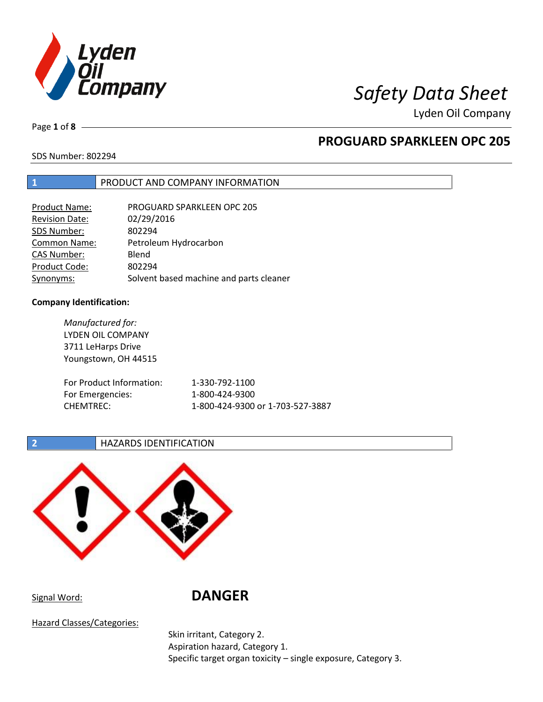

Page **1** of **8**

# **PROGUARD SPARKLEEN OPC 205**

SDS Number: 802294

## **1** PRODUCT AND COMPANY INFORMATION

| <b>Product Name:</b>  | PROGUARD SPARKLEEN OPC 205              |
|-----------------------|-----------------------------------------|
| <b>Revision Date:</b> | 02/29/2016                              |
| SDS Number:           | 802294                                  |
| <b>Common Name:</b>   | Petroleum Hydrocarbon                   |
| <b>CAS Number:</b>    | Blend                                   |
| Product Code:         | 802294                                  |
| Synonyms:             | Solvent based machine and parts cleaner |

## **Company Identification:**

*Manufactured for:* LYDEN OIL COMPANY 3711 LeHarps Drive Youngstown, OH 44515 For Product Information: 1-330-792-1100 For Emergencies: 1-800-424-9300 CHEMTREC: 1-800-424-9300 or 1-703-527-3887

## **2 HAZARDS IDENTIFICATION**



Signal Word: **DANGER**

Hazard Classes/Categories:

Skin irritant, Category 2. Aspiration hazard, Category 1. Specific target organ toxicity – single exposure, Category 3.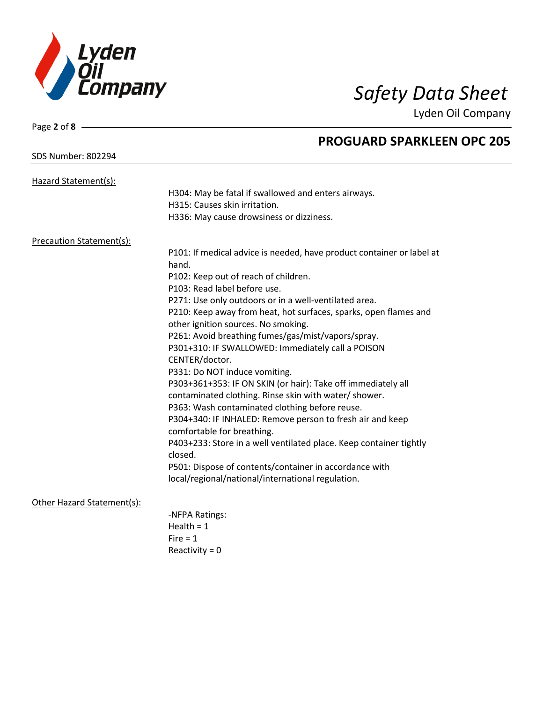

Lyden Oil Company

## SDS Number: 802294

Page **2** of **8**

## Hazard Statement(s): H304: May be fatal if swallowed and enters airways. H315: Causes skin irritation. H336: May cause drowsiness or dizziness. Precaution Statement(s): P101: If medical advice is needed, have product container or label at hand. P102: Keep out of reach of children. P103: Read label before use. P271: Use only outdoors or in a well-ventilated area. P210: Keep away from heat, hot surfaces, sparks, open flames and other ignition sources. No smoking. P261: Avoid breathing fumes/gas/mist/vapors/spray. P301+310: IF SWALLOWED: Immediately call a POISON CENTER/doctor. P331: Do NOT induce vomiting. P303+361+353: IF ON SKIN (or hair): Take off immediately all contaminated clothing. Rinse skin with water/ shower. P363: Wash contaminated clothing before reuse. P304+340: IF INHALED: Remove person to fresh air and keep comfortable for breathing. P403+233: Store in a well ventilated place. Keep container tightly closed. P501: Dispose of contents/container in accordance with local/regional/national/international regulation. Other Hazard Statement(s): -NFPA Ratings: Health  $= 1$  $Fire = 1$ Reactivity  $= 0$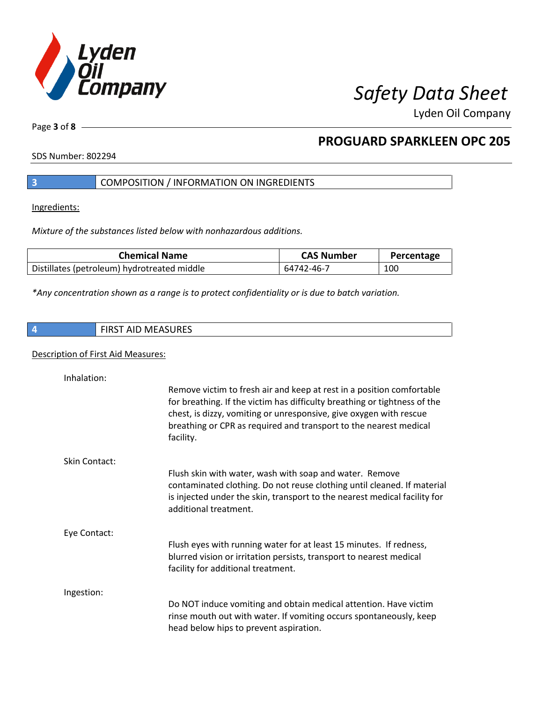

Page **3** of **8**

# **PROGUARD SPARKLEEN OPC 205**

SDS Number: 802294

## **3** COMPOSITION / INFORMATION ON INGREDIENTS

Ingredients:

*Mixture of the substances listed below with nonhazardous additions.*

| <b>Chemical Name</b>                        | <b>CAS Number</b> | Percentage |
|---------------------------------------------|-------------------|------------|
| Distillates (petroleum) hydrotreated middle | 64742-46-7        | 100        |

*\*Any concentration shown as a range is to protect confidentiality or is due to batch variation.*

| <b>FIRST AID MEASURES</b> |
|---------------------------|
|                           |

## Description of First Aid Measures:

| Inhalation:          | Remove victim to fresh air and keep at rest in a position comfortable<br>for breathing. If the victim has difficulty breathing or tightness of the<br>chest, is dizzy, vomiting or unresponsive, give oxygen with rescue<br>breathing or CPR as required and transport to the nearest medical<br>facility. |
|----------------------|------------------------------------------------------------------------------------------------------------------------------------------------------------------------------------------------------------------------------------------------------------------------------------------------------------|
| <b>Skin Contact:</b> | Flush skin with water, wash with soap and water. Remove<br>contaminated clothing. Do not reuse clothing until cleaned. If material<br>is injected under the skin, transport to the nearest medical facility for<br>additional treatment.                                                                   |
| Eye Contact:         | Flush eyes with running water for at least 15 minutes. If redness,<br>blurred vision or irritation persists, transport to nearest medical<br>facility for additional treatment.                                                                                                                            |
| Ingestion:           | Do NOT induce vomiting and obtain medical attention. Have victim<br>rinse mouth out with water. If vomiting occurs spontaneously, keep<br>head below hips to prevent aspiration.                                                                                                                           |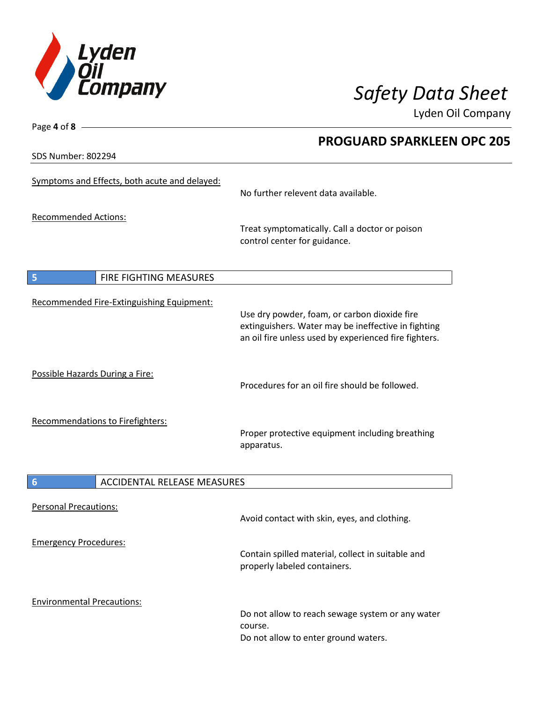

Lyden Oil Company

SDS Number: 802294

Page **4** of **8**

# Symptoms and Effects, both acute and delayed: No further relevent data available. Recommended Actions: Treat symptomatically. Call a doctor or poison control center for guidance. **5** FIRE FIGHTING MEASURES Recommended Fire-Extinguishing Equipment: Use dry powder, foam, or carbon dioxide fire extinguishers. Water may be ineffective in fighting an oil fire unless used by experienced fire fighters. Possible Hazards During a Fire: Procedures for an oil fire should be followed. Recommendations to Firefighters: Proper protective equipment including breathing apparatus. **6** ACCIDENTAL RELEASE MEASURES Personal Precautions: Avoid contact with skin, eyes, and clothing. Emergency Procedures: Contain spilled material, collect in suitable and properly labeled containers. Environmental Precautions: Do not allow to reach sewage system or any water course. Do not allow to enter ground waters.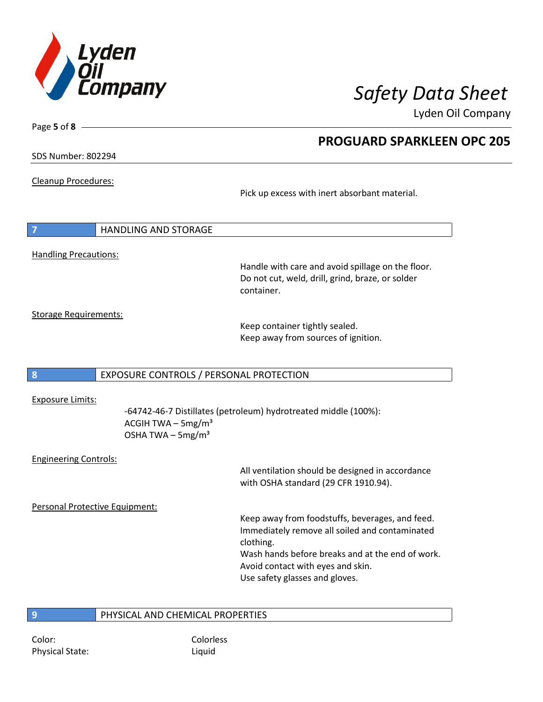

Lyden Oil Company

SDS Number: 802294

Page **5** of **8**

Cleanup Procedures:

Pick up excess with inert absorbant material.

|                              | <b>HANDLING AND STORAGE</b>                       |
|------------------------------|---------------------------------------------------|
| <b>Handling Precautions:</b> | Handle with care and avoid spillage on the floor. |

Do not cut, weld, drill, grind, braze, or solder container.

Storage Requirements:

Keep container tightly sealed. Keep away from sources of ignition.

**8** EXPOSURE CONTROLS / PERSONAL PROTECTION

Exposure Limits:

-64742-46-7 Distillates (petroleum) hydrotreated middle (100%): ACGIH TWA  $-$  5mg/m<sup>3</sup> OSHA TWA  $-$  5mg/m<sup>3</sup>

Engineering Controls:

All ventilation should be designed in accordance with OSHA standard (29 CFR 1910.94).

Personal Protective Equipment:

Keep away from foodstuffs, beverages, and feed. Immediately remove all soiled and contaminated clothing. Wash hands before breaks and at the end of work. Avoid contact with eyes and skin.

Use safety glasses and gloves.

## **9** PHYSICAL AND CHEMICAL PROPERTIES

Color: Colorless Physical State: Liquid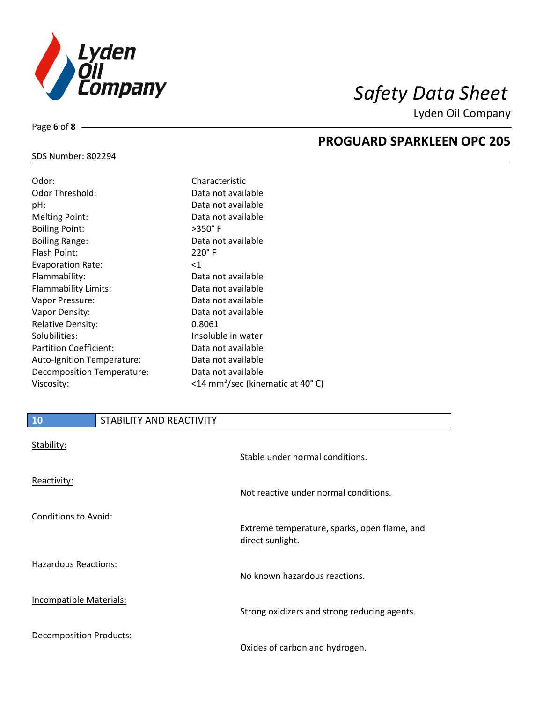

# SDS Number: 802294

Page **6** of **8**

| Characteristic                               |
|----------------------------------------------|
| Data not available                           |
| Data not available                           |
| Data not available                           |
| $>350^\circ$ F                               |
| Data not available                           |
| $220^\circ$ F                                |
| $<$ 1                                        |
| Data not available                           |
| Data not available                           |
| Data not available                           |
| Data not available                           |
| 0.8061                                       |
| Insoluble in water                           |
| Data not available                           |
| Data not available                           |
| Data not available                           |
| <14 mm <sup>2</sup> /sec (kinematic at 40°C) |
|                                              |

## **PROGUARD SPARKLEEN OPC 205**

| 10                             | STABILITY AND REACTIVITY |                                                                  |
|--------------------------------|--------------------------|------------------------------------------------------------------|
| Stability:                     |                          | Stable under normal conditions.                                  |
| Reactivity:                    |                          | Not reactive under normal conditions.                            |
| Conditions to Avoid:           |                          | Extreme temperature, sparks, open flame, and<br>direct sunlight. |
| <b>Hazardous Reactions:</b>    |                          | No known hazardous reactions.                                    |
| <b>Incompatible Materials:</b> |                          | Strong oxidizers and strong reducing agents.                     |
| <b>Decomposition Products:</b> |                          | Oxides of carbon and hydrogen.                                   |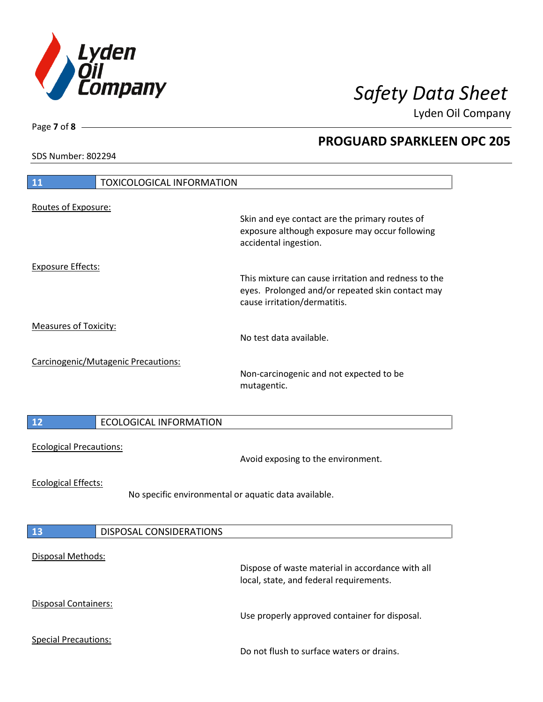

Lyden Oil Company

SDS Number: 802294

Page **7** of **8**

# **11** TOXICOLOGICAL INFORMATION Routes of Exposure: Skin and eye contact are the primary routes of exposure although exposure may occur following accidental ingestion. Exposure Effects: This mixture can cause irritation and redness to the eyes. Prolonged and/or repeated skin contact may cause irritation/dermatitis. Measures of Toxicity: No test data available. Carcinogenic/Mutagenic Precautions: Non-carcinogenic and not expected to be mutagentic. **12** ECOLOGICAL INFORMATION Ecological Precautions: Avoid exposing to the environment. Ecological Effects: No specific environmental or aquatic data available. **13** DISPOSAL CONSIDERATIONS Disposal Methods: Dispose of waste material in accordance with all local, state, and federal requirements. Disposal Containers: Use properly approved container for disposal. Special Precautions: Do not flush to surface waters or drains.